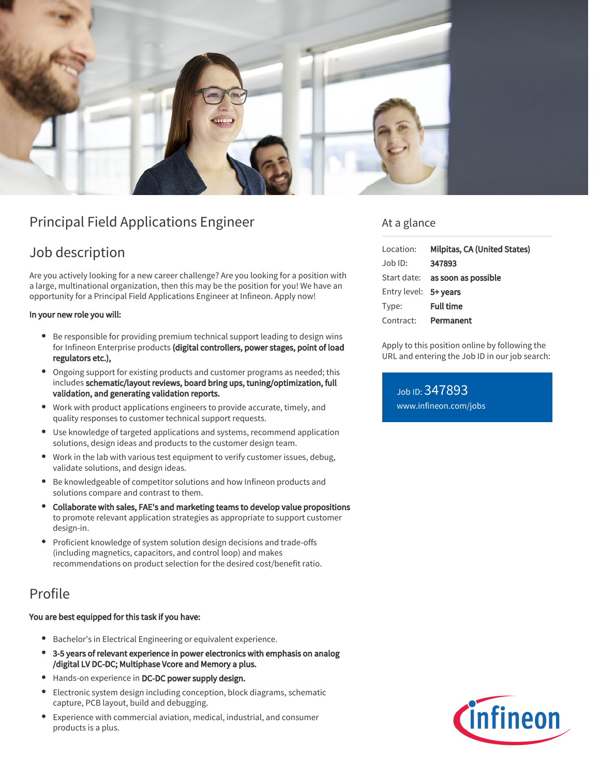

# Principal Field Applications Engineer

## Job description

Are you actively looking for a new career challenge? Are you looking for a position with a large, multinational organization, then this may be the position for you! We have an opportunity for a Principal Field Applications Engineer at Infineon. Apply now!

#### In your new role you will:

- Be responsible for providing premium technical support leading to design wins for Infineon Enterprise products (digital controllers, power stages, point of load regulators etc.),
- Ongoing support for existing products and customer programs as needed; this includes schematic/layout reviews, board bring ups, tuning/optimization, full validation, and generating validation reports.
- Work with product applications engineers to provide accurate, timely, and quality responses to customer technical support requests.
- Use knowledge of targeted applications and systems, recommend application solutions, design ideas and products to the customer design team.
- Work in the lab with various test equipment to verify customer issues, debug,  $\bullet$ validate solutions, and design ideas.
- Be knowledgeable of competitor solutions and how Infineon products and solutions compare and contrast to them.
- Collaborate with sales, FAE's and marketing teams to develop value propositions to promote relevant application strategies as appropriate to support customer design-in.
- Proficient knowledge of system solution design decisions and trade-offs (including magnetics, capacitors, and control loop) and makes recommendations on product selection for the desired cost/benefit ratio.

### Profile

#### You are best equipped for this task if you have:

- Bachelor's in Electrical Engineering or equivalent experience.
- 3-5 years of relevant experience in power electronics with emphasis on analog /digital LV DC-DC; Multiphase Vcore and Memory a plus.
- Hands-on experience in DC-DC power supply design.
- Electronic system design including conception, block diagrams, schematic  $\bullet$ capture, PCB layout, build and debugging.
- Experience with commercial aviation, medical, industrial, and consumer products is a plus.

### At a glance

| Location:             | Milpitas, CA (United States)           |
|-----------------------|----------------------------------------|
| Job ID:               | 347893                                 |
|                       | Start date: <b>as soon as possible</b> |
| Entry level: 5+ years |                                        |
| Type:                 | <b>Full time</b>                       |
| Contract:             | Permanent                              |

Apply to this position online by following the URL and entering the Job ID in our job search:

Job ID: 347893 [www.infineon.com/jobs](https://www.infineon.com/jobs)

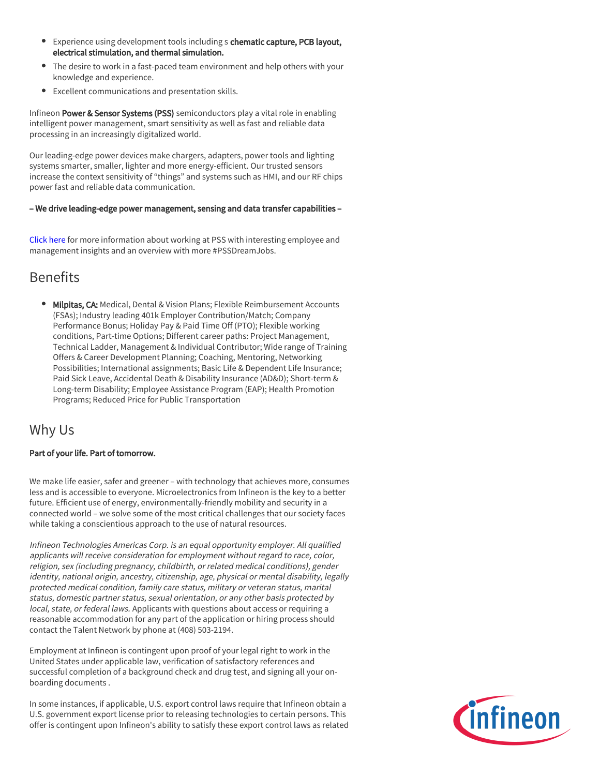- **Experience using development tools including s chematic capture, PCB layout,** electrical stimulation, and thermal simulation.
- The desire to work in a fast-paced team environment and help others with your knowledge and experience.
- Excellent communications and presentation skills.

Infineon Power & Sensor Systems (PSS) semiconductors play a vital role in enabling intelligent power management, smart sensitivity as well as fast and reliable data processing in an increasingly digitalized world.

Our leading-edge power devices make chargers, adapters, power tools and lighting systems smarter, smaller, lighter and more energy-efficient. Our trusted sensors increase the context sensitivity of "things" and systems such as HMI, and our RF chips power fast and reliable data communication.

#### – We drive leading-edge power management, sensing and data transfer capabilities –

[Click here](https://www.infineon.com/cms/en/careers/working-at-infineon/PSSDreamJob/) for more information about working at PSS with interesting employee and management insights and an overview with more #PSSDreamJobs.

### Benefits

**Milpitas, CA:** Medical, Dental & Vision Plans; Flexible Reimbursement Accounts (FSAs); Industry leading 401k Employer Contribution/Match; Company Performance Bonus; Holiday Pay & Paid Time Off (PTO); Flexible working conditions, Part-time Options; Different career paths: Project Management, Technical Ladder, Management & Individual Contributor; Wide range of Training Offers & Career Development Planning; Coaching, Mentoring, Networking Possibilities; International assignments; Basic Life & Dependent Life Insurance; Paid Sick Leave, Accidental Death & Disability Insurance (AD&D); Short-term & Long-term Disability; Employee Assistance Program (EAP); Health Promotion Programs; Reduced Price for Public Transportation

### Why Us

#### Part of your life. Part of tomorrow.

We make life easier, safer and greener – with technology that achieves more, consumes less and is accessible to everyone. Microelectronics from Infineon is the key to a better future. Efficient use of energy, environmentally-friendly mobility and security in a connected world – we solve some of the most critical challenges that our society faces while taking a conscientious approach to the use of natural resources.

Infineon Technologies Americas Corp. is an equal opportunity employer. All qualified applicants will receive consideration for employment without regard to race, color, religion, sex (including pregnancy, childbirth, or related medical conditions), gender identity, national origin, ancestry, citizenship, age, physical or mental disability, legally protected medical condition, family care status, military or veteran status, marital status, domestic partner status, sexual orientation, or any other basis protected by local, state, or federal laws. Applicants with questions about access or requiring a reasonable accommodation for any part of the application or hiring process should contact the Talent Network by phone at (408) 503-2194.

Employment at Infineon is contingent upon proof of your legal right to work in the United States under applicable law, verification of satisfactory references and successful completion of a background check and drug test, and signing all your onboarding documents .

In some instances, if applicable, U.S. export control laws require that Infineon obtain a U.S. government export license prior to releasing technologies to certain persons. This offer is contingent upon Infineon's ability to satisfy these export control laws as related